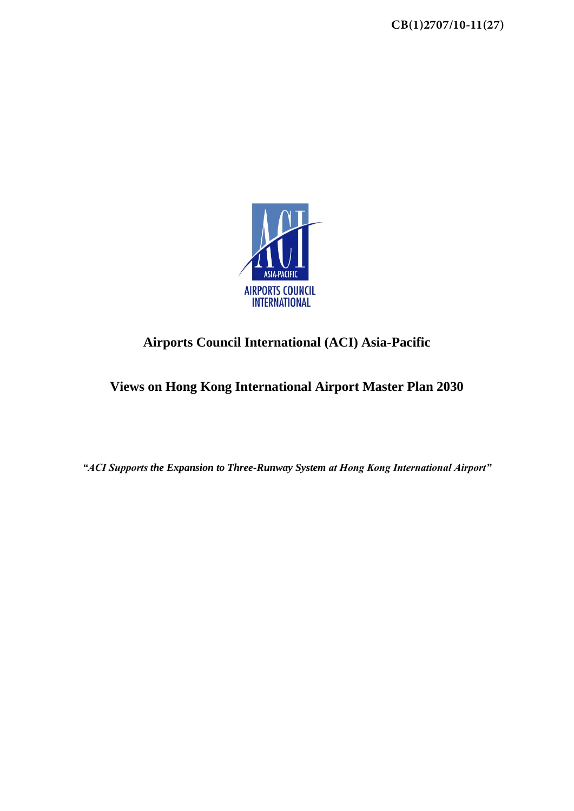

# **Airports Council International (ACI) Asia-Pacific**

**Views on Hong Kong International Airport Master Plan 2030** 

*"ACI Supports the Expansion to Three-Runway System at Hong Kong International Airport"*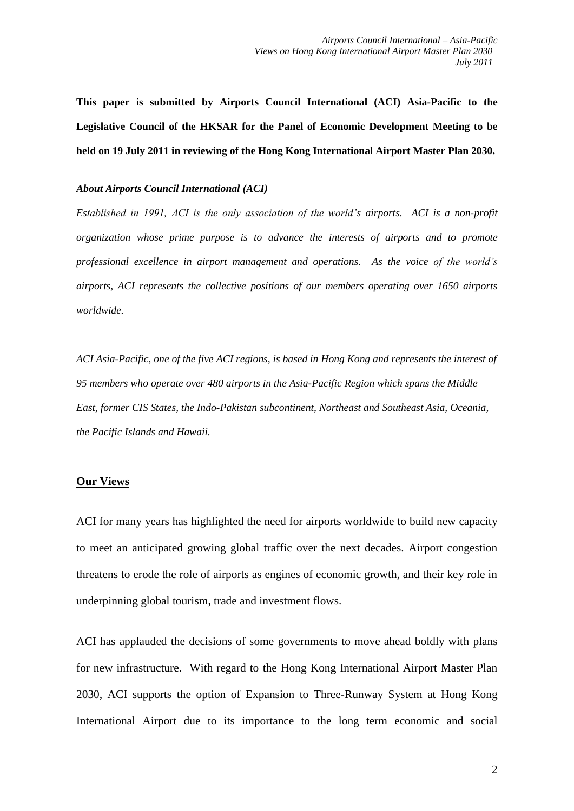**This paper is submitted by Airports Council International (ACI) Asia-Pacific to the Legislative Council of the HKSAR for the Panel of Economic Development Meeting to be held on 19 July 2011 in reviewing of the Hong Kong International Airport Master Plan 2030.** 

## *About Airports Council International (ACI)*

*Established in 1991, ACI is the only association of the world's airports. ACI is a non-profit organization whose prime purpose is to advance the interests of airports and to promote professional excellence in airport management and operations. As the voice of the world's airports, ACI represents the collective positions of our members operating over 1650 airports worldwide.* 

*ACI Asia-Pacific, one of the five ACI regions, is based in Hong Kong and represents the interest of 95 members who operate over 480 airports in the Asia-Pacific Region which spans the Middle East, former CIS States, the Indo-Pakistan subcontinent, Northeast and Southeast Asia, Oceania, the Pacific Islands and Hawaii.* 

# **Our Views**

ACI for many years has highlighted the need for airports worldwide to build new capacity to meet an anticipated growing global traffic over the next decades. Airport congestion threatens to erode the role of airports as engines of economic growth, and their key role in underpinning global tourism, trade and investment flows.

ACI has applauded the decisions of some governments to move ahead boldly with plans for new infrastructure. With regard to the Hong Kong International Airport Master Plan 2030, ACI supports the option of Expansion to Three-Runway System at Hong Kong International Airport due to its importance to the long term economic and social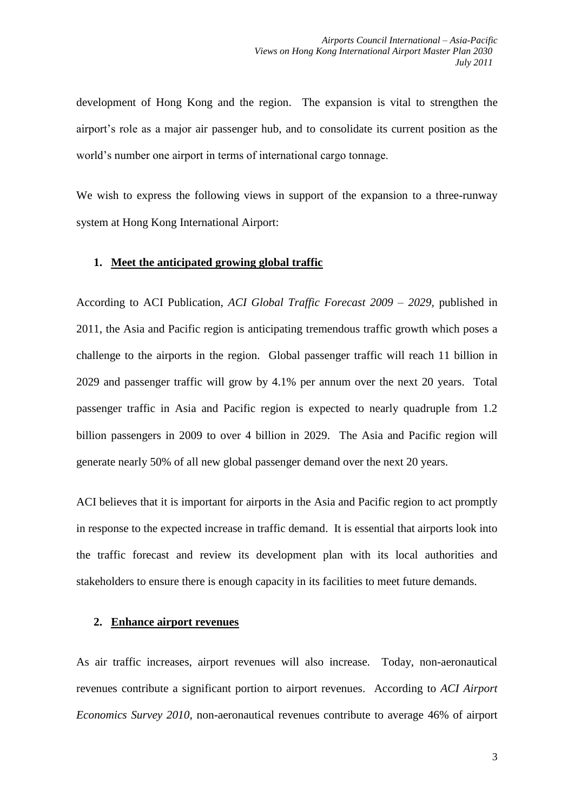development of Hong Kong and the region. The expansion is vital to strengthen the airport's role as a major air passenger hub, and to consolidate its current position as the world's number one airport in terms of international cargo tonnage.

We wish to express the following views in support of the expansion to a three-runway system at Hong Kong International Airport:

## **1. Meet the anticipated growing global traffic**

According to ACI Publication, *ACI Global Traffic Forecast 2009 – 2029,* published in 2011, the Asia and Pacific region is anticipating tremendous traffic growth which poses a challenge to the airports in the region. Global passenger traffic will reach 11 billion in 2029 and passenger traffic will grow by 4.1% per annum over the next 20 years. Total passenger traffic in Asia and Pacific region is expected to nearly quadruple from 1.2 billion passengers in 2009 to over 4 billion in 2029. The Asia and Pacific region will generate nearly 50% of all new global passenger demand over the next 20 years.

ACI believes that it is important for airports in the Asia and Pacific region to act promptly in response to the expected increase in traffic demand. It is essential that airports look into the traffic forecast and review its development plan with its local authorities and stakeholders to ensure there is enough capacity in its facilities to meet future demands.

## **2. Enhance airport revenues**

As air traffic increases, airport revenues will also increase. Today, non-aeronautical revenues contribute a significant portion to airport revenues. According to *ACI Airport Economics Survey 2010*, non-aeronautical revenues contribute to average 46% of airport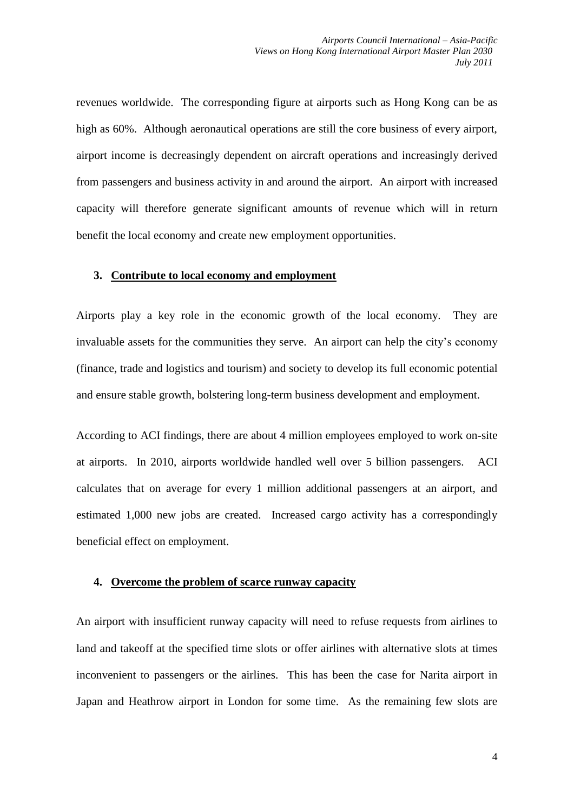revenues worldwide. The corresponding figure at airports such as Hong Kong can be as high as 60%. Although aeronautical operations are still the core business of every airport, airport income is decreasingly dependent on aircraft operations and increasingly derived from passengers and business activity in and around the airport. An airport with increased capacity will therefore generate significant amounts of revenue which will in return benefit the local economy and create new employment opportunities.

## **3. Contribute to local economy and employment**

Airports play a key role in the economic growth of the local economy. They are invaluable assets for the communities they serve. An airport can help the city's economy (finance, trade and logistics and tourism) and society to develop its full economic potential and ensure stable growth, bolstering long-term business development and employment.

According to ACI findings, there are about 4 million employees employed to work on-site at airports. In 2010, airports worldwide handled well over 5 billion passengers. ACI calculates that on average for every 1 million additional passengers at an airport, and estimated 1,000 new jobs are created. Increased cargo activity has a correspondingly beneficial effect on employment.

#### **4. Overcome the problem of scarce runway capacity**

An airport with insufficient runway capacity will need to refuse requests from airlines to land and takeoff at the specified time slots or offer airlines with alternative slots at times inconvenient to passengers or the airlines. This has been the case for Narita airport in Japan and Heathrow airport in London for some time. As the remaining few slots are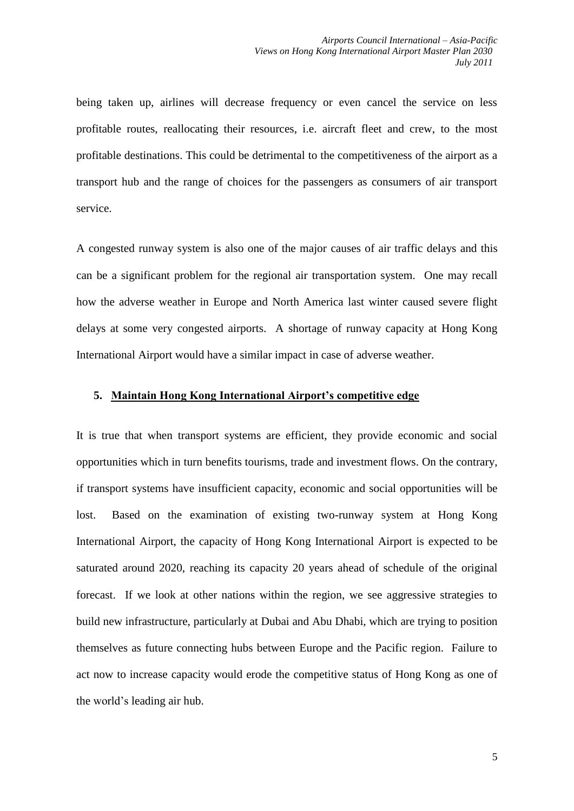being taken up, airlines will decrease frequency or even cancel the service on less profitable routes, reallocating their resources, i.e. aircraft fleet and crew, to the most profitable destinations. This could be detrimental to the competitiveness of the airport as a transport hub and the range of choices for the passengers as consumers of air transport service.

A congested runway system is also one of the major causes of air traffic delays and this can be a significant problem for the regional air transportation system. One may recall how the adverse weather in Europe and North America last winter caused severe flight delays at some very congested airports. A shortage of runway capacity at Hong Kong International Airport would have a similar impact in case of adverse weather.

# **5. Maintain Hong Kong International Airport's competitive edge**

It is true that when transport systems are efficient, they provide economic and social opportunities which in turn benefits tourisms, trade and investment flows. On the contrary, if transport systems have insufficient capacity, economic and social opportunities will be lost. Based on the examination of existing two-runway system at Hong Kong International Airport, the capacity of Hong Kong International Airport is expected to be saturated around 2020, reaching its capacity 20 years ahead of schedule of the original forecast. If we look at other nations within the region, we see aggressive strategies to build new infrastructure, particularly at Dubai and Abu Dhabi, which are trying to position themselves as future connecting hubs between Europe and the Pacific region. Failure to act now to increase capacity would erode the competitive status of Hong Kong as one of the world's leading air hub.